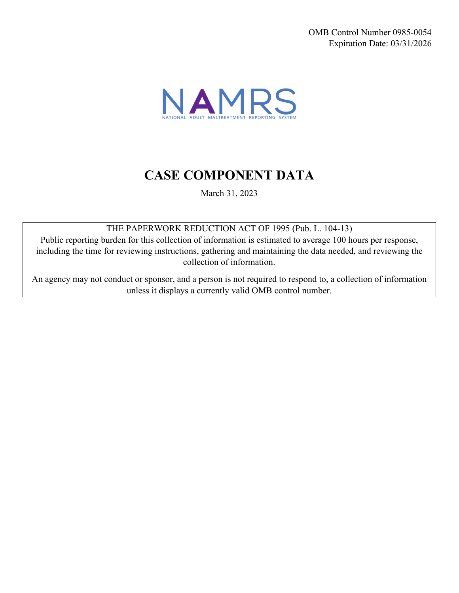OMB Control Number 0985-0054 Expiration Date: 03/31/2026



# **CASE COMPONENT DATA**

March 31, 2023

THE PAPERWORK REDUCTION ACT OF 1995 (Pub. L. 104-13)

Public reporting burden for this collection of information is estimated to average 100 hours per response, including the time for reviewing instructions, gathering and maintaining the data needed, and reviewing the collection of information.

An agency may not conduct or sponsor, and a person is not required to respond to, a collection of information unless it displays a currently valid OMB control number.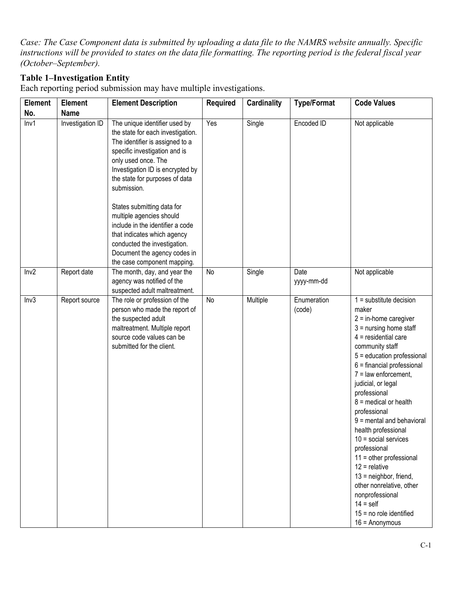*Case: The Case Component data is submitted by uploading a data file to the NAMRS website annually. Specific instructions will be provided to states on the data file formatting. The reporting period is the federal fiscal year (October–September).* 

### **Table 1–Investigation Entity**

Each reporting period submission may have multiple investigations.

| Element | <b>Element</b>   | <b>Element Description</b>                                                                                                                                                                                                                         | <b>Required</b> | <b>Cardinality</b> | <b>Type/Format</b>    | <b>Code Values</b>                                                                                                                                                                                                                                                                                                                                                                                                                                                                                                                                                                                                 |
|---------|------------------|----------------------------------------------------------------------------------------------------------------------------------------------------------------------------------------------------------------------------------------------------|-----------------|--------------------|-----------------------|--------------------------------------------------------------------------------------------------------------------------------------------------------------------------------------------------------------------------------------------------------------------------------------------------------------------------------------------------------------------------------------------------------------------------------------------------------------------------------------------------------------------------------------------------------------------------------------------------------------------|
| No.     | <b>Name</b>      |                                                                                                                                                                                                                                                    |                 |                    |                       |                                                                                                                                                                                                                                                                                                                                                                                                                                                                                                                                                                                                                    |
| Inv1    | Investigation ID | The unique identifier used by<br>the state for each investigation.<br>The identifier is assigned to a<br>specific investigation and is<br>only used once. The<br>Investigation ID is encrypted by<br>the state for purposes of data<br>submission. | Yes             | Single             | Encoded ID            | Not applicable                                                                                                                                                                                                                                                                                                                                                                                                                                                                                                                                                                                                     |
|         |                  | States submitting data for<br>multiple agencies should<br>include in the identifier a code<br>that indicates which agency<br>conducted the investigation.<br>Document the agency codes in<br>the case component mapping.                           |                 |                    |                       |                                                                                                                                                                                                                                                                                                                                                                                                                                                                                                                                                                                                                    |
| Inv2    | Report date      | The month, day, and year the<br>agency was notified of the<br>suspected adult maltreatment.                                                                                                                                                        | No              | Single             | Date<br>yyyy-mm-dd    | Not applicable                                                                                                                                                                                                                                                                                                                                                                                                                                                                                                                                                                                                     |
| Inv3    | Report source    | The role or profession of the<br>person who made the report of<br>the suspected adult<br>maltreatment. Multiple report<br>source code values can be<br>submitted for the client.                                                                   | No              | Multiple           | Enumeration<br>(code) | $1 =$ substitute decision<br>maker<br>$2 = in$ -home caregiver<br>$3 =$ nursing home staff<br>$4$ = residential care<br>community staff<br>5 = education professional<br>$6 =$ financial professional<br>$7 =$ law enforcement,<br>judicial, or legal<br>professional<br>$8$ = medical or health<br>professional<br>$9$ = mental and behavioral<br>health professional<br>$10 =$ social services<br>professional<br>$11 =$ other professional<br>$12$ = relative<br>$13$ = neighbor, friend,<br>other nonrelative, other<br>nonprofessional<br>$14 = \text{self}$<br>$15 = no$ role identified<br>$16 =$ Anonymous |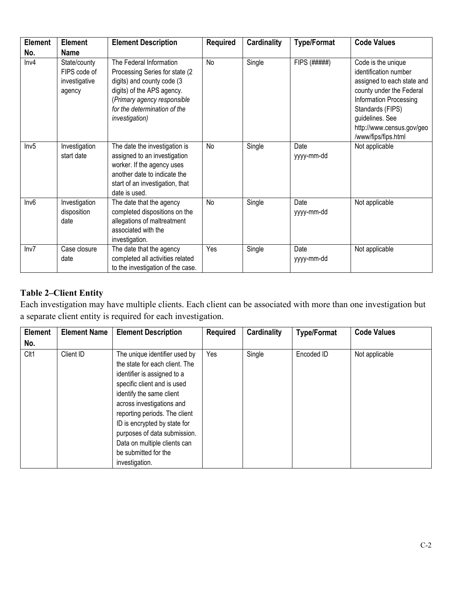| <b>Element</b> | <b>Element</b>                                               | <b>Element Description</b>                                                                                                                                                      | <b>Required</b> | Cardinality | <b>Type/Format</b> | <b>Code Values</b>                                                                                                                            |
|----------------|--------------------------------------------------------------|---------------------------------------------------------------------------------------------------------------------------------------------------------------------------------|-----------------|-------------|--------------------|-----------------------------------------------------------------------------------------------------------------------------------------------|
| No.<br>Inv4    | <b>Name</b><br>State/county<br>FIPS code of<br>investigative | The Federal Information<br>Processing Series for state (2)<br>digits) and county code (3                                                                                        | No              | Single      | FIPS (#####)       | Code is the unique<br>identification number<br>assigned to each state and                                                                     |
|                | agency                                                       | digits) of the APS agency.<br>(Primary agency responsible<br>for the determination of the<br><i>investigation</i> )                                                             |                 |             |                    | county under the Federal<br>Information Processing<br>Standards (FIPS)<br>guidelines. See<br>http://www.census.gov/geo<br>/www/fips/fips.html |
| Inv5           | Investigation<br>start date                                  | The date the investigation is<br>assigned to an investigation<br>worker. If the agency uses<br>another date to indicate the<br>start of an investigation, that<br>date is used. | No              | Single      | Date<br>yyyy-mm-dd | Not applicable                                                                                                                                |
| Inv6           | Investigation<br>disposition<br>date                         | The date that the agency<br>completed dispositions on the<br>allegations of maltreatment<br>associated with the<br>investigation.                                               | No              | Single      | Date<br>yyyy-mm-dd | Not applicable                                                                                                                                |
| Inv7           | Case closure<br>date                                         | The date that the agency<br>completed all activities related<br>to the investigation of the case.                                                                               | Yes             | Single      | Date<br>yyyy-mm-dd | Not applicable                                                                                                                                |

# **Table 2–Client Entity**

 Each investigation may have multiple clients. Each client can be associated with more than one investigation but a separate client entity is required for each investigation.

| <b>Element</b> | <b>Element Name</b> | <b>Element Description</b>     | <b>Required</b> | <b>Cardinality</b> | <b>Type/Format</b> | <b>Code Values</b> |
|----------------|---------------------|--------------------------------|-----------------|--------------------|--------------------|--------------------|
| No.            |                     |                                |                 |                    |                    |                    |
| Clt1           | Client ID           | The unique identifier used by  | Yes             | Single             | Encoded ID         | Not applicable     |
|                |                     | the state for each client. The |                 |                    |                    |                    |
|                |                     | identifier is assigned to a    |                 |                    |                    |                    |
|                |                     | specific client and is used    |                 |                    |                    |                    |
|                |                     | identify the same client       |                 |                    |                    |                    |
|                |                     | across investigations and      |                 |                    |                    |                    |
|                |                     | reporting periods. The client  |                 |                    |                    |                    |
|                |                     | ID is encrypted by state for   |                 |                    |                    |                    |
|                |                     | purposes of data submission.   |                 |                    |                    |                    |
|                |                     | Data on multiple clients can   |                 |                    |                    |                    |
|                |                     | be submitted for the           |                 |                    |                    |                    |
|                |                     | investigation.                 |                 |                    |                    |                    |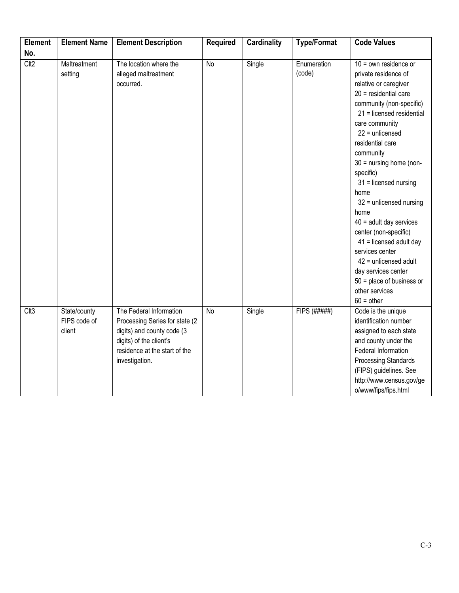| <b>Element</b>   | <b>Element Name</b>                    | <b>Element Description</b>                                                                                                                                             | <b>Required</b> | <b>Cardinality</b> | <b>Type/Format</b>    | <b>Code Values</b>                                                                                                                                                                                                                                                                                                                                                                                                                                                                                                                                                            |
|------------------|----------------------------------------|------------------------------------------------------------------------------------------------------------------------------------------------------------------------|-----------------|--------------------|-----------------------|-------------------------------------------------------------------------------------------------------------------------------------------------------------------------------------------------------------------------------------------------------------------------------------------------------------------------------------------------------------------------------------------------------------------------------------------------------------------------------------------------------------------------------------------------------------------------------|
| No.              |                                        |                                                                                                                                                                        |                 |                    |                       |                                                                                                                                                                                                                                                                                                                                                                                                                                                                                                                                                                               |
| Clt <sub>2</sub> | Maltreatment<br>setting                | The location where the<br>alleged maltreatment<br>occurred.                                                                                                            | <b>No</b>       | Single             | Enumeration<br>(code) | $10 =$ own residence or<br>private residence of<br>relative or caregiver<br>$20$ = residential care<br>community (non-specific)<br>21 = licensed residential<br>care community<br>$22$ = unlicensed<br>residential care<br>community<br>$30 =$ nursing home (non-<br>specific)<br>$31$ = licensed nursing<br>home<br>$32$ = unlicensed nursing<br>home<br>$40$ = adult day services<br>center (non-specific)<br>41 = licensed adult day<br>services center<br>$42$ = unlicensed adult<br>day services center<br>$50$ = place of business or<br>other services<br>$60 =$ other |
| Clt3             | State/county<br>FIPS code of<br>client | The Federal Information<br>Processing Series for state (2)<br>digits) and county code (3<br>digits) of the client's<br>residence at the start of the<br>investigation. | <b>No</b>       | Single             | FIPS (#####)          | Code is the unique<br>identification number<br>assigned to each state<br>and county under the<br>Federal Information<br><b>Processing Standards</b><br>(FIPS) guidelines. See<br>http://www.census.gov/ge<br>o/www/fips/fips.html                                                                                                                                                                                                                                                                                                                                             |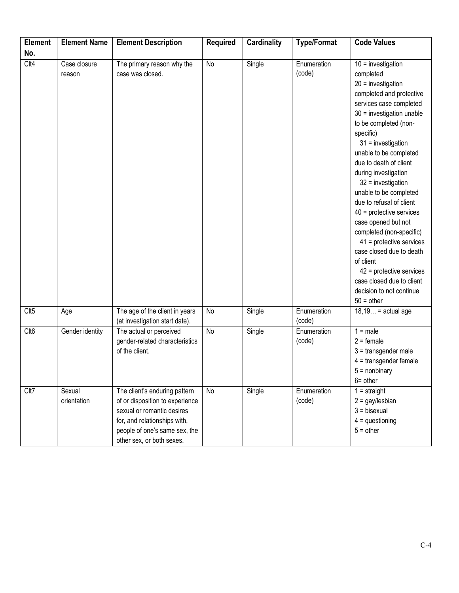| <b>Element</b> | <b>Element Name</b>    | <b>Element Description</b>                                                                                                                                                                   | <b>Required</b> | <b>Cardinality</b> | <b>Type/Format</b>    | <b>Code Values</b>                                                                                                                                                                                                                                                                                                                                                                                                                                                                                                                                                                                                                     |
|----------------|------------------------|----------------------------------------------------------------------------------------------------------------------------------------------------------------------------------------------|-----------------|--------------------|-----------------------|----------------------------------------------------------------------------------------------------------------------------------------------------------------------------------------------------------------------------------------------------------------------------------------------------------------------------------------------------------------------------------------------------------------------------------------------------------------------------------------------------------------------------------------------------------------------------------------------------------------------------------------|
| No.            |                        |                                                                                                                                                                                              |                 |                    |                       |                                                                                                                                                                                                                                                                                                                                                                                                                                                                                                                                                                                                                                        |
| Clt4           | Case closure<br>reason | The primary reason why the<br>case was closed.                                                                                                                                               | No              | Single             | Enumeration<br>(code) | $10 =$ investigation<br>completed<br>$20 =$ investigation<br>completed and protective<br>services case completed<br>$30$ = investigation unable<br>to be completed (non-<br>specific)<br>$31$ = investigation<br>unable to be completed<br>due to death of client<br>during investigation<br>$32$ = investigation<br>unable to be completed<br>due to refusal of client<br>$40$ = protective services<br>case opened but not<br>completed (non-specific)<br>$41$ = protective services<br>case closed due to death<br>of client<br>$42$ = protective services<br>case closed due to client<br>decision to not continue<br>$50 =$ other |
| Clt5           | Age                    | The age of the client in years<br>(at investigation start date).                                                                                                                             | No              | Single             | Enumeration<br>(code) | $18,19$ = actual age                                                                                                                                                                                                                                                                                                                                                                                                                                                                                                                                                                                                                   |
| Clt6           | Gender identity        | The actual or perceived<br>gender-related characteristics<br>of the client.                                                                                                                  | No              | Single             | Enumeration<br>(code) | $1 = male$<br>$2 =$ female<br>$3 =$ transgender male<br>$4 =$ transgender female<br>$5 =$ nonbinary<br>$6 = other$                                                                                                                                                                                                                                                                                                                                                                                                                                                                                                                     |
| Clt7           | Sexual<br>orientation  | The client's enduring pattern<br>of or disposition to experience<br>sexual or romantic desires<br>for, and relationships with,<br>people of one's same sex, the<br>other sex, or both sexes. | No              | Single             | Enumeration<br>(code) | $1 = straight$<br>$2 =$ gay/lesbian<br>$3 = bisexual$<br>$4 =$ questioning<br>$5 = other$                                                                                                                                                                                                                                                                                                                                                                                                                                                                                                                                              |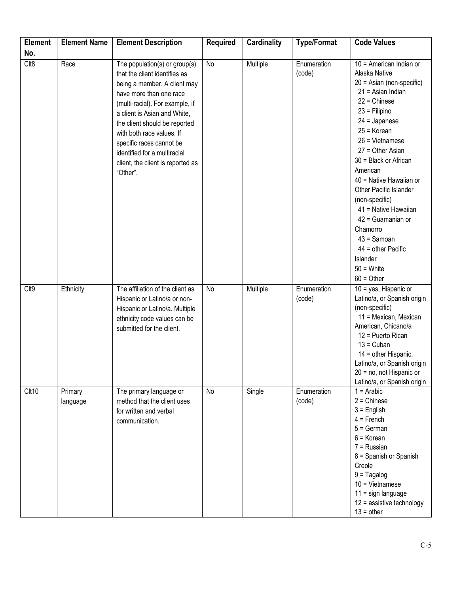| <b>Element</b> | <b>Element Name</b> | <b>Element Description</b>                                                                                                                                                                                                                                                                                                                                              | <b>Required</b> | <b>Cardinality</b> | <b>Type/Format</b>    | <b>Code Values</b>                                                                                                                                                                                                                                                                                                                                                                                                                                                            |
|----------------|---------------------|-------------------------------------------------------------------------------------------------------------------------------------------------------------------------------------------------------------------------------------------------------------------------------------------------------------------------------------------------------------------------|-----------------|--------------------|-----------------------|-------------------------------------------------------------------------------------------------------------------------------------------------------------------------------------------------------------------------------------------------------------------------------------------------------------------------------------------------------------------------------------------------------------------------------------------------------------------------------|
| No.            |                     |                                                                                                                                                                                                                                                                                                                                                                         |                 |                    |                       |                                                                                                                                                                                                                                                                                                                                                                                                                                                                               |
| $C$ lt8        | Race                | The population(s) or group(s)<br>that the client identifies as<br>being a member. A client may<br>have more than one race<br>(multi-racial). For example, if<br>a client is Asian and White,<br>the client should be reported<br>with both race values. If<br>specific races cannot be<br>identified for a multiracial<br>client, the client is reported as<br>"Other". | No              | Multiple           | Enumeration<br>(code) | 10 = American Indian or<br>Alaska Native<br>20 = Asian (non-specific)<br>$21$ = Asian Indian<br>$22 =$ Chinese<br>$23$ = Filipino<br>$24 =$ Japanese<br>$25 = K$ orean<br>$26$ = Vietnamese<br>$27 =$ Other Asian<br>30 = Black or African<br>American<br>40 = Native Hawaiian or<br>Other Pacific Islander<br>(non-specific)<br>41 = Native Hawaiian<br>$42$ = Guamanian or<br>Chamorro<br>$43 =$ Samoan<br>$44 =$ other Pacific<br>Islander<br>$50 =$ White<br>$60 =$ Other |
| Clt9           | Ethnicity           | The affiliation of the client as<br>Hispanic or Latino/a or non-<br>Hispanic or Latino/a. Multiple<br>ethnicity code values can be<br>submitted for the client.                                                                                                                                                                                                         | No              | Multiple           | Enumeration<br>(code) | $10 = yes$ , Hispanic or<br>Latino/a, or Spanish origin<br>(non-specific)<br>11 = Mexican, Mexican<br>American, Chicano/a<br>12 = Puerto Rican<br>$13 =$ Cuban<br>14 = other Hispanic,<br>Latino/a, or Spanish origin<br>20 = no, not Hispanic or<br>Latino/a, or Spanish origin                                                                                                                                                                                              |
| Clt10          | Primary<br>language | The primary language or<br>method that the client uses<br>for written and verbal<br>communication.                                                                                                                                                                                                                                                                      | No              | Single             | Enumeration<br>(code) | $1 =$ Arabic<br>$2 =$ Chinese<br>$3$ = English<br>$4 =$ French<br>$5 = German$<br>$6 =$ Korean<br>$7 =$ Russian<br>8 = Spanish or Spanish<br>Creole<br>$9 = Tagalog$<br>$10 =$ Vietnamese<br>$11 =$ sign language<br>$12$ = assistive technology<br>$13 = other$                                                                                                                                                                                                              |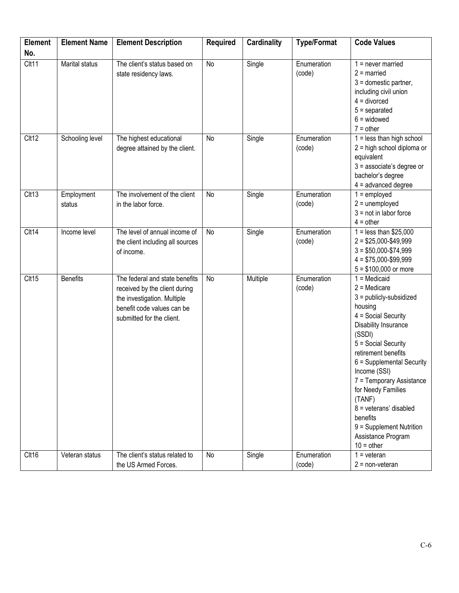| <b>Element</b> | <b>Element Name</b>  | <b>Element Description</b>                                                                                                                                | <b>Required</b> | <b>Cardinality</b> | <b>Type/Format</b>    | <b>Code Values</b>                                                                                                                                                                                                                                                                                                                                                                                 |
|----------------|----------------------|-----------------------------------------------------------------------------------------------------------------------------------------------------------|-----------------|--------------------|-----------------------|----------------------------------------------------------------------------------------------------------------------------------------------------------------------------------------------------------------------------------------------------------------------------------------------------------------------------------------------------------------------------------------------------|
| No.            |                      |                                                                                                                                                           |                 |                    |                       |                                                                                                                                                                                                                                                                                                                                                                                                    |
| Clt11          | Marital status       | The client's status based on<br>state residency laws.                                                                                                     | No              | Single             | Enumeration<br>(code) | $1 =$ never married<br>$2 =$ married<br>$3 =$ domestic partner,<br>including civil union<br>$4 =$ divorced<br>$5 =$ separated<br>$6 =$ widowed<br>$7 = other$                                                                                                                                                                                                                                      |
| Clt12          | Schooling level      | The highest educational<br>degree attained by the client.                                                                                                 | No              | Single             | Enumeration<br>(code) | $1 =$ less than high school<br>2 = high school diploma or<br>equivalent<br>$3$ = associate's degree or<br>bachelor's degree<br>$4 =$ advanced degree                                                                                                                                                                                                                                               |
| Clt13          | Employment<br>status | The involvement of the client<br>in the labor force.                                                                                                      | No              | Single             | Enumeration<br>(code) | $1 =$ employed<br>$2 =$ unemployed<br>$3 = not in labor force$<br>$4 = other$                                                                                                                                                                                                                                                                                                                      |
| Clt14          | Income level         | The level of annual income of<br>the client including all sources<br>of income.                                                                           | No              | Single             | Enumeration<br>(code) | $1 =$ less than \$25,000<br>$2 = $25,000 - $49,999$<br>$3 = $50,000 - $74,999$<br>$4 = $75,000 - $99,999$<br>$5 = $100,000$ or more                                                                                                                                                                                                                                                                |
| Clt15          | <b>Benefits</b>      | The federal and state benefits<br>received by the client during<br>the investigation. Multiple<br>benefit code values can be<br>submitted for the client. | No              | Multiple           | Enumeration<br>(code) | $1 =$ Medicaid<br>$2 =$ Medicare<br>$3 =$ publicly-subsidized<br>housing<br>4 = Social Security<br>Disability Insurance<br>(SSDI)<br>5 = Social Security<br>retirement benefits<br>6 = Supplemental Security<br>Income (SSI)<br>7 = Temporary Assistance<br>for Needy Families<br>(TANF)<br>$8 =$ veterans' disabled<br>benefits<br>9 = Supplement Nutrition<br>Assistance Program<br>$10 =$ other |
| Clt16          | Veteran status       | The client's status related to<br>the US Armed Forces.                                                                                                    | No              | Single             | Enumeration<br>(code) | $1 = veteran$<br>$2 = non-vector$                                                                                                                                                                                                                                                                                                                                                                  |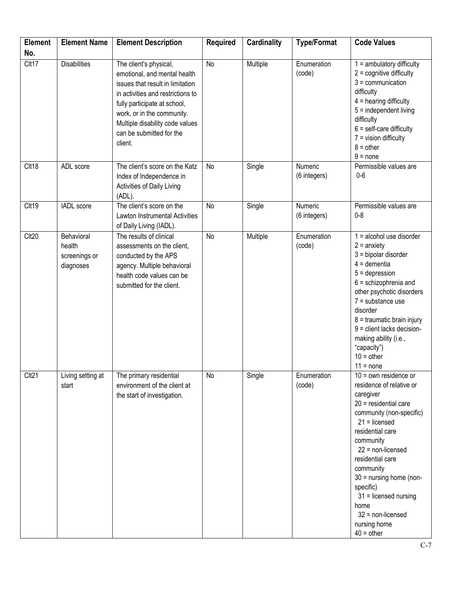| <b>Element</b> | <b>Element Name</b>                                | <b>Element Description</b>                                                                                                                                                                                                                                              | <b>Required</b> | <b>Cardinality</b> | <b>Type/Format</b>      | <b>Code Values</b>                                                                                                                                                                                                                                                                                                                                                      |
|----------------|----------------------------------------------------|-------------------------------------------------------------------------------------------------------------------------------------------------------------------------------------------------------------------------------------------------------------------------|-----------------|--------------------|-------------------------|-------------------------------------------------------------------------------------------------------------------------------------------------------------------------------------------------------------------------------------------------------------------------------------------------------------------------------------------------------------------------|
| No.            |                                                    |                                                                                                                                                                                                                                                                         |                 |                    |                         |                                                                                                                                                                                                                                                                                                                                                                         |
| Clt17          | <b>Disabilities</b>                                | The client's physical,<br>emotional, and mental health<br>issues that result in limitation<br>in activities and restrictions to<br>fully participate at school,<br>work, or in the community.<br>Multiple disability code values<br>can be submitted for the<br>client. | No              | Multiple           | Enumeration<br>(code)   | $1 =$ ambulatory difficulty<br>$2 =$ cognitive difficulty<br>$3 =$ communication<br>difficulty<br>$4$ = hearing difficulty<br>$5 =$ independent living<br>difficulty<br>$6 = self-care difficulty$<br>$7 =$ vision difficulty<br>$8 = other$<br>$9 = none$                                                                                                              |
| Clt18          | ADL score                                          | The client's score on the Katz<br>Index of Independence in<br>Activities of Daily Living<br>(ADL).                                                                                                                                                                      | No              | Single             | Numeric<br>(6 integers) | Permissible values are<br>$0-6$                                                                                                                                                                                                                                                                                                                                         |
| Clt19          | <b>IADL</b> score                                  | The client's score on the<br>Lawton Instrumental Activities<br>of Daily Living (IADL).                                                                                                                                                                                  | No              | Single             | Numeric<br>(6 integers) | Permissible values are<br>$0 - 8$                                                                                                                                                                                                                                                                                                                                       |
| Clt20          | Behavioral<br>health<br>screenings or<br>diagnoses | The results of clinical<br>assessments on the client,<br>conducted by the APS<br>agency. Multiple behavioral<br>health code values can be<br>submitted for the client.                                                                                                  | <b>No</b>       | Multiple           | Enumeration<br>(code)   | $1 =$ alcohol use disorder<br>$2 =$ anxiety<br>$3 =$ bipolar disorder<br>$4 =$ dementia<br>$5 =$ depression<br>$6 =$ schizophrenia and<br>other psychotic disorders<br>$7 =$ substance use<br>disorder<br>8 = traumatic brain injury<br>$9$ = client lacks decision-<br>making ability (i.e.,<br>"capacity")<br>$10 =$ other<br>$11 = none$                             |
| Clt21          | Living setting at<br>start                         | The primary residential<br>environment of the client at<br>the start of investigation.                                                                                                                                                                                  | No              | Single             | Enumeration<br>(code)   | $10 =$ own residence or<br>residence of relative or<br>caregiver<br>$20$ = residential care<br>community (non-specific)<br>$21 =$ licensed<br>residential care<br>community<br>$22$ = non-licensed<br>residential care<br>community<br>$30 =$ nursing home (non-<br>specific)<br>$31$ = licensed nursing<br>home<br>$32$ = non-licensed<br>nursing home<br>$40 = other$ |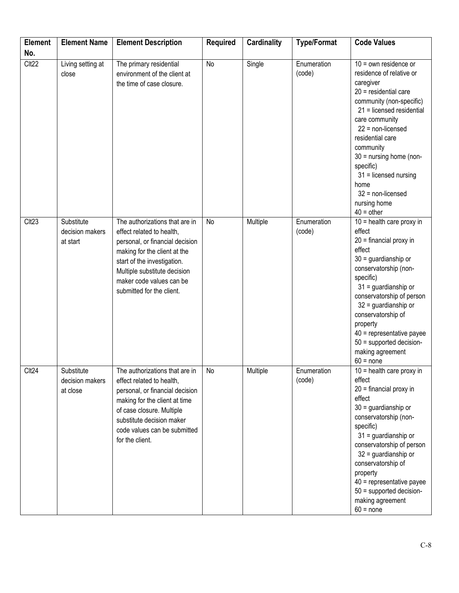| <b>Element</b><br>No. | <b>Element Name</b>                       | <b>Element Description</b>                                                                                                                                                                                                                             | <b>Required</b> | <b>Cardinality</b> | <b>Type/Format</b>    | <b>Code Values</b>                                                                                                                                                                                                                                                                                                                                                         |
|-----------------------|-------------------------------------------|--------------------------------------------------------------------------------------------------------------------------------------------------------------------------------------------------------------------------------------------------------|-----------------|--------------------|-----------------------|----------------------------------------------------------------------------------------------------------------------------------------------------------------------------------------------------------------------------------------------------------------------------------------------------------------------------------------------------------------------------|
| Clt <sub>22</sub>     | Living setting at<br>close                | The primary residential<br>environment of the client at<br>the time of case closure.                                                                                                                                                                   | No              | Single             | Enumeration<br>(code) | $10 =$ own residence or<br>residence of relative or<br>caregiver<br>$20$ = residential care<br>community (non-specific)<br>21 = licensed residential<br>care community<br>$22$ = non-licensed<br>residential care<br>community<br>30 = nursing home (non-<br>specific)<br>$31$ = licensed nursing<br>home<br>$32$ = non-licensed<br>nursing home<br>$40 =$ other           |
| Clt <sub>23</sub>     | Substitute<br>decision makers<br>at start | The authorizations that are in<br>effect related to health,<br>personal, or financial decision<br>making for the client at the<br>start of the investigation.<br>Multiple substitute decision<br>maker code values can be<br>submitted for the client. | No              | Multiple           | Enumeration<br>(code) | $\overline{10}$ = health care proxy in<br>effect<br>$20$ = financial proxy in<br>effect<br>$30 =$ guardianship or<br>conservatorship (non-<br>specific)<br>$31$ = guardianship or<br>conservatorship of person<br>$32$ = guardianship or<br>conservatorship of<br>property<br>$40$ = representative payee<br>$50$ = supported decision-<br>making agreement<br>$60 = none$ |
| Clt <sub>24</sub>     | Substitute<br>decision makers<br>at close | The authorizations that are in<br>effect related to health,<br>personal, or financial decision<br>making for the client at time<br>of case closure. Multiple<br>substitute decision maker<br>code values can be submitted<br>for the client.           | No              | Multiple           | Enumeration<br>(code) | $10$ = health care proxy in<br>effect<br>$20$ = financial proxy in<br>effect<br>$30 =$ guardianship or<br>conservatorship (non-<br>specific)<br>$31$ = guardianship or<br>conservatorship of person<br>$32$ = guardianship or<br>conservatorship of<br>property<br>$40$ = representative payee<br>50 = supported decision-<br>making agreement<br>$60 = none$              |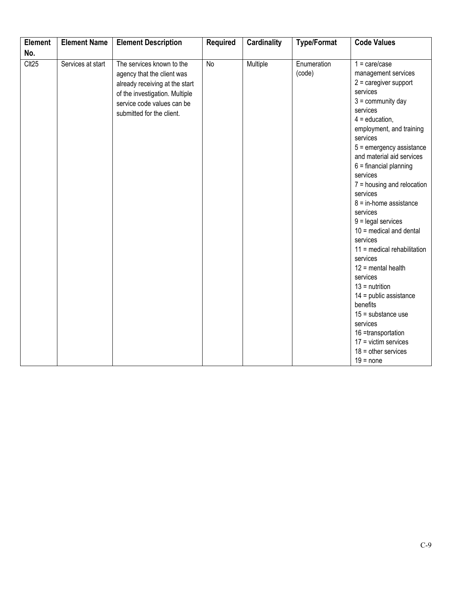| <b>Element</b>    | <b>Element Name</b> | <b>Element Description</b>                                                                                                                                                             | <b>Required</b> | <b>Cardinality</b> | <b>Type/Format</b>    | <b>Code Values</b>                                                                                                                                                                                                                                                                                                                                                                                                                                                                                                                                                                                                                                                                                                   |
|-------------------|---------------------|----------------------------------------------------------------------------------------------------------------------------------------------------------------------------------------|-----------------|--------------------|-----------------------|----------------------------------------------------------------------------------------------------------------------------------------------------------------------------------------------------------------------------------------------------------------------------------------------------------------------------------------------------------------------------------------------------------------------------------------------------------------------------------------------------------------------------------------------------------------------------------------------------------------------------------------------------------------------------------------------------------------------|
| No.               |                     |                                                                                                                                                                                        |                 |                    |                       |                                                                                                                                                                                                                                                                                                                                                                                                                                                                                                                                                                                                                                                                                                                      |
| Clt <sub>25</sub> | Services at start   | The services known to the<br>agency that the client was<br>already receiving at the start<br>of the investigation. Multiple<br>service code values can be<br>submitted for the client. | No              | Multiple           | Enumeration<br>(code) | $1 = \text{care/case}$<br>management services<br>$2$ = caregiver support<br>services<br>$3 =$ community day<br>services<br>$4 =$ education,<br>employment, and training<br>services<br>$5 =$ emergency assistance<br>and material aid services<br>$6 =$ financial planning<br>services<br>$7 =$ housing and relocation<br>services<br>$8 =$ in-home assistance<br>services<br>$9 =$ legal services<br>$10$ = medical and dental<br>services<br>$11$ = medical rehabilitation<br>services<br>$12$ = mental health<br>services<br>$13 =$ nutrition<br>$14$ = public assistance<br>benefits<br>$15 =$ substance use<br>services<br>16 =transportation<br>$17 =$ victim services<br>$18 =$ other services<br>$19 = none$ |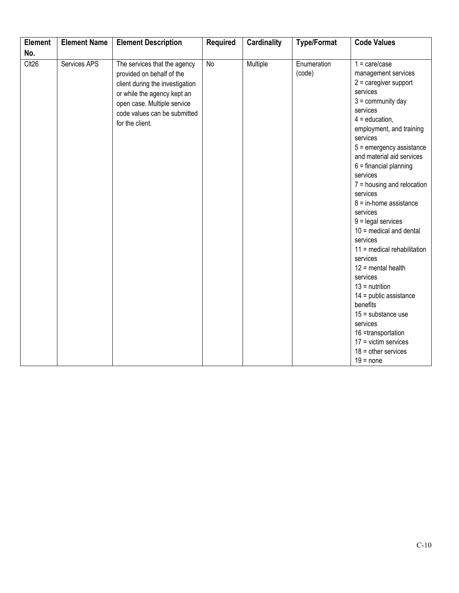| <b>Element</b>    | <b>Element Name</b> | <b>Element Description</b>                                                                                                                                                                                    | <b>Required</b> | <b>Cardinality</b> | <b>Type/Format</b>    | <b>Code Values</b>                                                                                                                                                                                                                                                                                                                                                                                                                                                                                                                                                                                                                                                                                                  |
|-------------------|---------------------|---------------------------------------------------------------------------------------------------------------------------------------------------------------------------------------------------------------|-----------------|--------------------|-----------------------|---------------------------------------------------------------------------------------------------------------------------------------------------------------------------------------------------------------------------------------------------------------------------------------------------------------------------------------------------------------------------------------------------------------------------------------------------------------------------------------------------------------------------------------------------------------------------------------------------------------------------------------------------------------------------------------------------------------------|
| No.               |                     |                                                                                                                                                                                                               |                 |                    |                       |                                                                                                                                                                                                                                                                                                                                                                                                                                                                                                                                                                                                                                                                                                                     |
| Clt <sub>26</sub> | Services APS        | The services that the agency<br>provided on behalf of the<br>client during the investigation<br>or while the agency kept an<br>open case. Multiple service<br>code values can be submitted<br>for the client. | No              | Multiple           | Enumeration<br>(code) | $1 = \text{care/case}$<br>management services<br>$2$ = caregiver support<br>services<br>$3 =$ community day<br>services<br>$4 =$ education,<br>employment, and training<br>services<br>$5 =$ emergency assistance<br>and material aid services<br>$6 =$ financial planning<br>services<br>$7 =$ housing and relocation<br>services<br>$8 = in$ -home assistance<br>services<br>$9 =$ legal services<br>$10$ = medical and dental<br>services<br>11 = medical rehabilitation<br>services<br>$12$ = mental health<br>services<br>$13 =$ nutrition<br>$14$ = public assistance<br>benefits<br>$15 =$ substance use<br>services<br>16 =transportation<br>$17 =$ victim services<br>$18 =$ other services<br>$19 = none$ |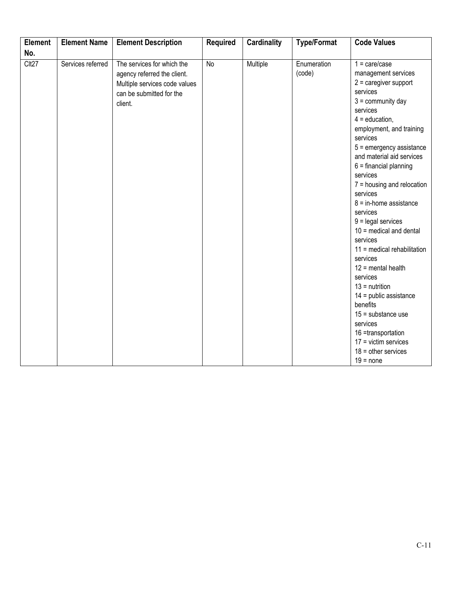| <b>Element</b>    | <b>Element Name</b> | <b>Element Description</b>                                                                                                        | <b>Required</b> | <b>Cardinality</b> | <b>Type/Format</b>    | <b>Code Values</b>                                                                                                                                                                                                                                                                                                                                                                                                                                                                                                                                                                                                                                                                                                  |
|-------------------|---------------------|-----------------------------------------------------------------------------------------------------------------------------------|-----------------|--------------------|-----------------------|---------------------------------------------------------------------------------------------------------------------------------------------------------------------------------------------------------------------------------------------------------------------------------------------------------------------------------------------------------------------------------------------------------------------------------------------------------------------------------------------------------------------------------------------------------------------------------------------------------------------------------------------------------------------------------------------------------------------|
| No.               |                     |                                                                                                                                   |                 |                    |                       |                                                                                                                                                                                                                                                                                                                                                                                                                                                                                                                                                                                                                                                                                                                     |
| Clt <sub>27</sub> | Services referred   | The services for which the<br>agency referred the client.<br>Multiple services code values<br>can be submitted for the<br>client. | No              | Multiple           | Enumeration<br>(code) | $1 = \text{care/case}$<br>management services<br>$2$ = caregiver support<br>services<br>$3 =$ community day<br>services<br>$4 =$ education,<br>employment, and training<br>services<br>$5 =$ emergency assistance<br>and material aid services<br>$6 =$ financial planning<br>services<br>$7 =$ housing and relocation<br>services<br>$8 = in$ -home assistance<br>services<br>$9 =$ legal services<br>$10$ = medical and dental<br>services<br>11 = medical rehabilitation<br>services<br>$12$ = mental health<br>services<br>$13 =$ nutrition<br>$14$ = public assistance<br>benefits<br>$15 =$ substance use<br>services<br>16 =transportation<br>$17 =$ victim services<br>$18 =$ other services<br>$19 = none$ |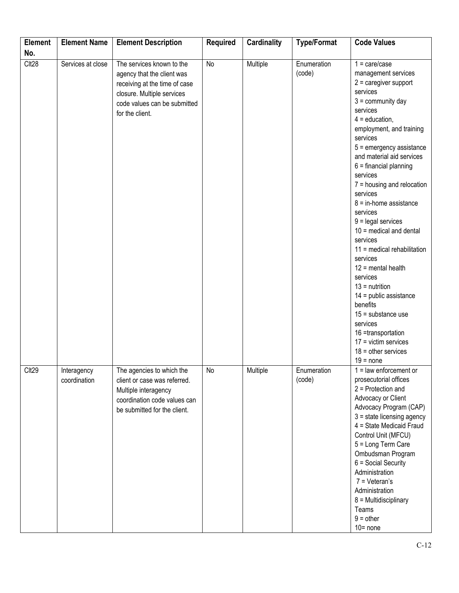| <b>Element</b>           | <b>Element Name</b>         | <b>Element Description</b>                                                                                                                                                | <b>Required</b> | <b>Cardinality</b> | <b>Type/Format</b>    | <b>Code Values</b>                                                                                                                                                                                                                                                                                                                                                                                                                                                                                                                                                                                                                                                                                  |
|--------------------------|-----------------------------|---------------------------------------------------------------------------------------------------------------------------------------------------------------------------|-----------------|--------------------|-----------------------|-----------------------------------------------------------------------------------------------------------------------------------------------------------------------------------------------------------------------------------------------------------------------------------------------------------------------------------------------------------------------------------------------------------------------------------------------------------------------------------------------------------------------------------------------------------------------------------------------------------------------------------------------------------------------------------------------------|
|                          |                             |                                                                                                                                                                           |                 |                    |                       |                                                                                                                                                                                                                                                                                                                                                                                                                                                                                                                                                                                                                                                                                                     |
| No.<br>Clt <sub>28</sub> | Services at close           | The services known to the<br>agency that the client was<br>receiving at the time of case<br>closure. Multiple services<br>code values can be submitted<br>for the client. | No              | Multiple           | Enumeration<br>(code) | $1 = \text{care/case}$<br>management services<br>$2$ = caregiver support<br>services<br>$3 =$ community day<br>services<br>$4 =$ education,<br>employment, and training<br>services<br>$5 =$ emergency assistance<br>and material aid services<br>$6 =$ financial planning<br>services<br>$7 =$ housing and relocation<br>services<br>$8 =$ in-home assistance<br>services<br>$9 =$ legal services<br>$10$ = medical and dental<br>services<br>11 = medical rehabilitation<br>services<br>$12$ = mental health<br>services<br>$13 =$ nutrition<br>$14$ = public assistance<br>benefits<br>$15 =$ substance use<br>services<br>16 =transportation<br>$17 =$ victim services<br>$18 =$ other services |
| Clt <sub>29</sub>        | Interagency<br>coordination | The agencies to which the<br>client or case was referred.<br>Multiple interagency<br>coordination code values can<br>be submitted for the client.                         | No              | Multiple           | Enumeration<br>(code) | $19 = none$<br>$1 =$ law enforcement or<br>prosecutorial offices<br>$2$ = Protection and<br>Advocacy or Client<br>Advocacy Program (CAP)<br>$3 = state$ licensing agency<br>4 = State Medicaid Fraud<br>Control Unit (MFCU)<br>5 = Long Term Care<br>Ombudsman Program<br>6 = Social Security<br>Administration<br>$7 = Veteran's$<br>Administration<br>$8 = Multidisciplinary$<br>Teams<br>$9 = other$<br>$10 = none$                                                                                                                                                                                                                                                                              |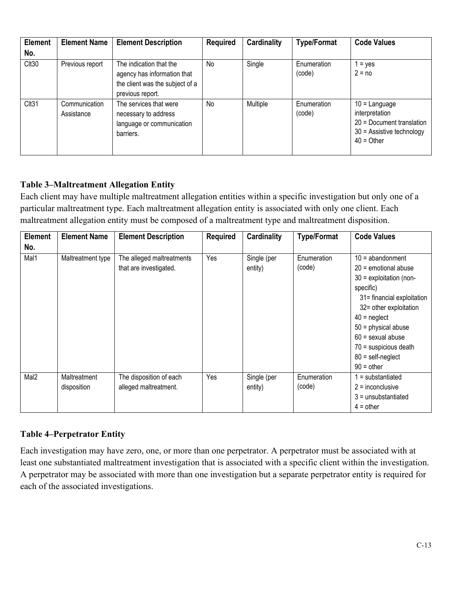| <b>Element</b><br>No. | <b>Element Name</b>         | <b>Element Description</b>                                                                                    | <b>Required</b> | <b>Cardinality</b> | <b>Type/Format</b>    | <b>Code Values</b>                                                                                            |
|-----------------------|-----------------------------|---------------------------------------------------------------------------------------------------------------|-----------------|--------------------|-----------------------|---------------------------------------------------------------------------------------------------------------|
| Clt30                 | Previous report             | The indication that the<br>agency has information that<br>the client was the subject of a<br>previous report. | <b>No</b>       | Single             | Enumeration<br>(code) | $1 = yes$<br>$2 = no$                                                                                         |
| Clt31                 | Communication<br>Assistance | The services that were<br>necessary to address<br>language or communication<br>barriers.                      | <b>No</b>       | Multiple           | Enumeration<br>(code) | $10 =$ Language<br>interpretation<br>20 = Document translation<br>$30$ = Assistive technology<br>$40 = Other$ |

## **Table 3–Maltreatment Allegation Entity**

Each client may have multiple maltreatment allegation entities within a specific investigation but only one of a particular maltreatment type. Each maltreatment allegation entity is associated with only one client. Each maltreatment allegation entity must be composed of a maltreatment type and maltreatment disposition.

| <b>Element</b>   | <b>Element Name</b>         | <b>Element Description</b>                          | <b>Required</b> | Cardinality            | <b>Type/Format</b>    | <b>Code Values</b>                                                                                                                                                                                                                                                                        |
|------------------|-----------------------------|-----------------------------------------------------|-----------------|------------------------|-----------------------|-------------------------------------------------------------------------------------------------------------------------------------------------------------------------------------------------------------------------------------------------------------------------------------------|
| No.              |                             |                                                     |                 |                        |                       |                                                                                                                                                                                                                                                                                           |
| Mal1             | Maltreatment type           | The alleged maltreatments<br>that are investigated. | Yes             | Single (per<br>entity) | Enumeration<br>(code) | $10 =$ abandonment<br>$20$ = emotional abuse<br>$30$ = exploitation (non-<br>specific)<br>31= financial exploitation<br>32= other exploitation<br>$40$ = neglect<br>$50$ = physical abuse<br>$60 =$ sexual abuse<br>$70$ = suspicious death<br>$80 = \text{self-neglect}$<br>$90 =$ other |
| Mal <sub>2</sub> | Maltreatment<br>disposition | The disposition of each<br>alleged maltreatment.    | Yes             | Single (per<br>entity) | Enumeration<br>(code) | $1 =$ substantiated<br>$2$ = inconclusive<br>$3 =$ unsubstantiated<br>$4 =$ other                                                                                                                                                                                                         |

#### **Table 4–Perpetrator Entity**

Each investigation may have zero, one, or more than one perpetrator. A perpetrator must be associated with at least one substantiated maltreatment investigation that is associated with a specific client within the investigation. A perpetrator may be associated with more than one investigation but a separate perpetrator entity is required for each of the associated investigations.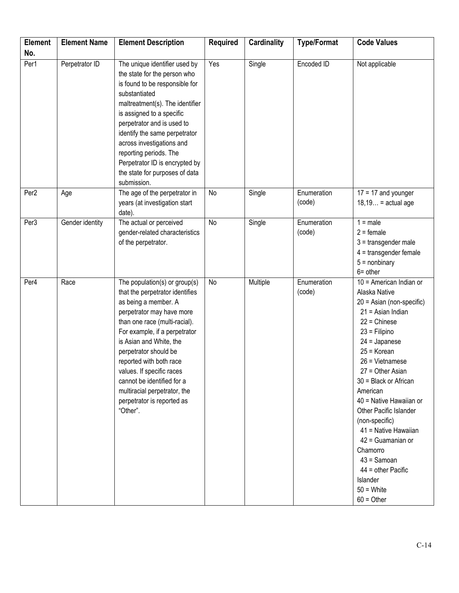| <b>Element</b><br>No. | <b>Element Name</b> | <b>Element Description</b>                                                                                                                                                                                                                                                                                                                                                                                  | <b>Required</b> | <b>Cardinality</b> | <b>Type/Format</b>    | <b>Code Values</b>                                                                                                                                                                                                                                                                                                                                                                                                                                                       |
|-----------------------|---------------------|-------------------------------------------------------------------------------------------------------------------------------------------------------------------------------------------------------------------------------------------------------------------------------------------------------------------------------------------------------------------------------------------------------------|-----------------|--------------------|-----------------------|--------------------------------------------------------------------------------------------------------------------------------------------------------------------------------------------------------------------------------------------------------------------------------------------------------------------------------------------------------------------------------------------------------------------------------------------------------------------------|
| Per1                  | Perpetrator ID      | The unique identifier used by<br>the state for the person who<br>is found to be responsible for<br>substantiated<br>maltreatment(s). The identifier<br>is assigned to a specific<br>perpetrator and is used to<br>identify the same perpetrator<br>across investigations and<br>reporting periods. The<br>Perpetrator ID is encrypted by<br>the state for purposes of data<br>submission.                   | Yes             | Single             | Encoded ID            | Not applicable                                                                                                                                                                                                                                                                                                                                                                                                                                                           |
| Per <sub>2</sub>      | Age                 | The age of the perpetrator in<br>years (at investigation start<br>date).                                                                                                                                                                                                                                                                                                                                    | No              | Single             | Enumeration<br>(code) | $17 = 17$ and younger<br>$18,19$ = actual age                                                                                                                                                                                                                                                                                                                                                                                                                            |
| Per3                  | Gender identity     | The actual or perceived<br>gender-related characteristics<br>of the perpetrator.                                                                                                                                                                                                                                                                                                                            | No              | Single             | Enumeration<br>(code) | $1 = male$<br>$2 =$ female<br>$3 =$ transgender male<br>$4$ = transgender female<br>$5 =$ nonbinary<br>$6 = other$                                                                                                                                                                                                                                                                                                                                                       |
| Per4                  | Race                | The population(s) or group(s)<br>that the perpetrator identifies<br>as being a member. A<br>perpetrator may have more<br>than one race (multi-racial).<br>For example, if a perpetrator<br>is Asian and White, the<br>perpetrator should be<br>reported with both race<br>values. If specific races<br>cannot be identified for a<br>multiracial perpetrator, the<br>perpetrator is reported as<br>"Other". | No              | Multiple           | Enumeration<br>(code) | 10 = American Indian or<br>Alaska Native<br>$20 =$ Asian (non-specific)<br>$21$ = Asian Indian<br>$22 =$ Chinese<br>$23$ = Filipino<br>$24 =$ Japanese<br>$25 =$ Korean<br>$26$ = Vietnamese<br>27 = Other Asian<br>30 = Black or African<br>American<br>40 = Native Hawaiian or<br>Other Pacific Islander<br>(non-specific)<br>41 = Native Hawaiian<br>42 = Guamanian or<br>Chamorro<br>$43 =$ Samoan<br>44 = other Pacific<br>Islander<br>$50 =$ White<br>$60 = Other$ |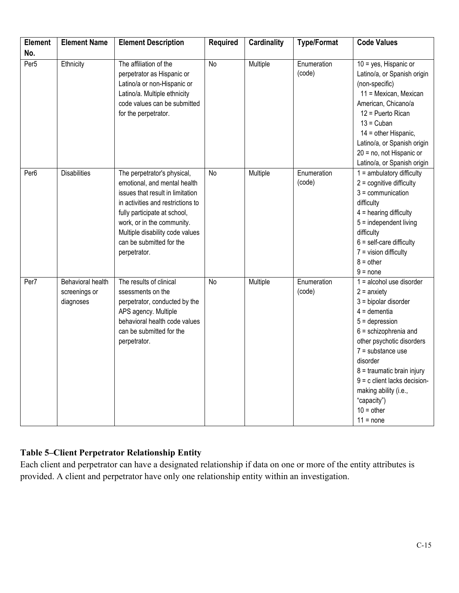| <b>Element</b>   | <b>Element Name</b>                                    | <b>Element Description</b>                                                                                                                                                                                                                                                        | <b>Required</b> | <b>Cardinality</b> | <b>Type/Format</b>    | <b>Code Values</b>                                                                                                                                                                                                                                                                                                                              |
|------------------|--------------------------------------------------------|-----------------------------------------------------------------------------------------------------------------------------------------------------------------------------------------------------------------------------------------------------------------------------------|-----------------|--------------------|-----------------------|-------------------------------------------------------------------------------------------------------------------------------------------------------------------------------------------------------------------------------------------------------------------------------------------------------------------------------------------------|
| No.              |                                                        |                                                                                                                                                                                                                                                                                   |                 |                    |                       |                                                                                                                                                                                                                                                                                                                                                 |
| Per <sub>5</sub> | Ethnicity                                              | The affiliation of the<br>perpetrator as Hispanic or<br>Latino/a or non-Hispanic or<br>Latino/a. Multiple ethnicity<br>code values can be submitted<br>for the perpetrator.                                                                                                       | <b>No</b>       | Multiple           | Enumeration<br>(code) | $10 = yes$ , Hispanic or<br>Latino/a, or Spanish origin<br>(non-specific)<br>11 = Mexican, Mexican<br>American, Chicano/a<br>12 = Puerto Rican<br>$13 = Cuban$<br>$14 =$ other Hispanic,<br>Latino/a, or Spanish origin<br>20 = no, not Hispanic or<br>Latino/a, or Spanish origin                                                              |
| Per <sub>6</sub> | <b>Disabilities</b>                                    | The perpetrator's physical,<br>emotional, and mental health<br>issues that result in limitation<br>in activities and restrictions to<br>fully participate at school,<br>work, or in the community.<br>Multiple disability code values<br>can be submitted for the<br>perpetrator. | <b>No</b>       | Multiple           | Enumeration<br>(code) | $1 =$ ambulatory difficulty<br>$2 =$ cognitive difficulty<br>$3 =$ communication<br>difficulty<br>$4$ = hearing difficulty<br>$5 =$ independent living<br>difficulty<br>$6 = self-care difficulty$<br>$7 =$ vision difficulty<br>$8 = other$<br>$9 = none$                                                                                      |
| Per7             | <b>Behavioral health</b><br>screenings or<br>diagnoses | The results of clinical<br>ssessments on the<br>perpetrator, conducted by the<br>APS agency. Multiple<br>behavioral health code values<br>can be submitted for the<br>perpetrator.                                                                                                | No              | Multiple           | Enumeration<br>(code) | $1 =$ alcohol use disorder<br>$2 =$ anxiety<br>$3 =$ bipolar disorder<br>$4 =$ dementia<br>$5 =$ depression<br>$6 =$ schizophrenia and<br>other psychotic disorders<br>$7 =$ substance use<br>disorder<br>$8 =$ traumatic brain injury<br>$9 = c$ client lacks decision-<br>making ability (i.e.,<br>"capacity")<br>$10 =$ other<br>$11 = none$ |

### **Table 5–Client Perpetrator Relationship Entity**

Each client and perpetrator can have a designated relationship if data on one or more of the entity attributes is provided. A client and perpetrator have only one relationship entity within an investigation.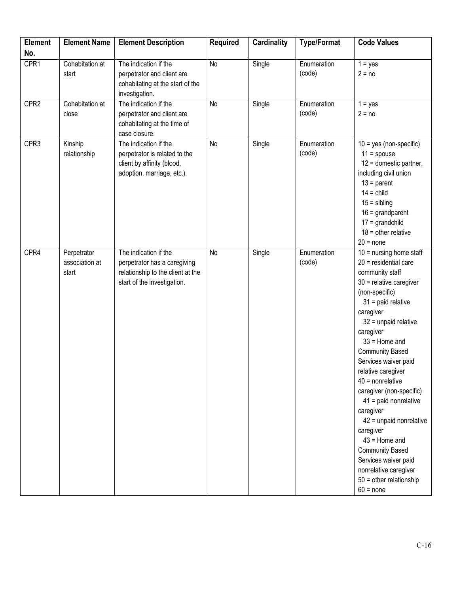| <b>Element</b>   | <b>Element Name</b>                    | <b>Element Description</b>                                                                                                | <b>Required</b> | <b>Cardinality</b> | <b>Type/Format</b>    | <b>Code Values</b>                                                                                                                                                                                                                                                                                                                                                                                                                                                                                                                                                        |
|------------------|----------------------------------------|---------------------------------------------------------------------------------------------------------------------------|-----------------|--------------------|-----------------------|---------------------------------------------------------------------------------------------------------------------------------------------------------------------------------------------------------------------------------------------------------------------------------------------------------------------------------------------------------------------------------------------------------------------------------------------------------------------------------------------------------------------------------------------------------------------------|
| No.              |                                        |                                                                                                                           |                 |                    |                       |                                                                                                                                                                                                                                                                                                                                                                                                                                                                                                                                                                           |
| CPR1             | Cohabitation at<br>start               | The indication if the<br>perpetrator and client are<br>cohabitating at the start of the<br>investigation.                 | No              | Single             | Enumeration<br>(code) | $1 = yes$<br>$2 = no$                                                                                                                                                                                                                                                                                                                                                                                                                                                                                                                                                     |
| CPR <sub>2</sub> | Cohabitation at<br>close               | The indication if the<br>perpetrator and client are<br>cohabitating at the time of<br>case closure.                       | No              | Single             | Enumeration<br>(code) | $1 = yes$<br>$2 = no$                                                                                                                                                                                                                                                                                                                                                                                                                                                                                                                                                     |
| CPR3             | Kinship<br>relationship                | The indication if the<br>perpetrator is related to the<br>client by affinity (blood,<br>adoption, marriage, etc.).        | No              | Single             | Enumeration<br>(code) | $10 = yes (non-specific)$<br>$11 =$ spouse<br>$12$ = domestic partner,<br>including civil union<br>$13 =$ parent<br>$14 =$ child<br>$15 =$ sibling<br>$16 =$ grandparent<br>$17 =$ grandchild<br>$18 =$ other relative<br>$20 = none$                                                                                                                                                                                                                                                                                                                                     |
| CPR4             | Perpetrator<br>association at<br>start | The indication if the<br>perpetrator has a caregiving<br>relationship to the client at the<br>start of the investigation. | No              | Single             | Enumeration<br>(code) | $10 =$ nursing home staff<br>$20$ = residential care<br>community staff<br>$30$ = relative caregiver<br>(non-specific)<br>$31$ = paid relative<br>caregiver<br>$32$ = unpaid relative<br>caregiver<br>$33$ = Home and<br><b>Community Based</b><br>Services waiver paid<br>relative caregiver<br>$40$ = nonrelative<br>caregiver (non-specific)<br>$41$ = paid nonrelative<br>caregiver<br>42 = unpaid nonrelative<br>caregiver<br>$43$ = Home and<br><b>Community Based</b><br>Services waiver paid<br>nonrelative caregiver<br>$50 =$ other relationship<br>$60 = none$ |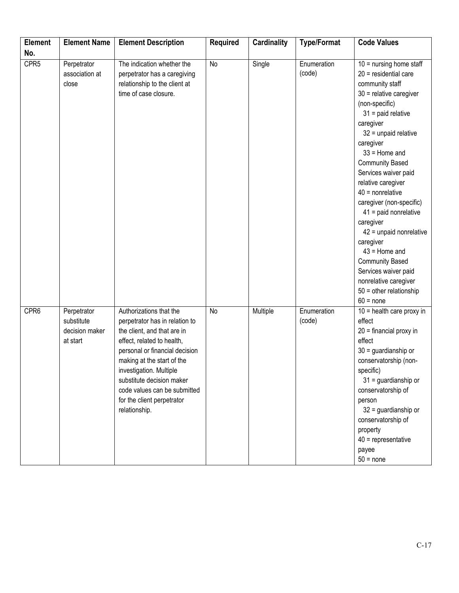| <b>Element</b>   | <b>Element Name</b>                                     | <b>Element Description</b>                                                                                                                                                                                                                                                                                                    | <b>Required</b> | <b>Cardinality</b> | <b>Type/Format</b>    | <b>Code Values</b>                                                                                                                                                                                                                                                                                                                                                                                                                                                                                                                                                        |
|------------------|---------------------------------------------------------|-------------------------------------------------------------------------------------------------------------------------------------------------------------------------------------------------------------------------------------------------------------------------------------------------------------------------------|-----------------|--------------------|-----------------------|---------------------------------------------------------------------------------------------------------------------------------------------------------------------------------------------------------------------------------------------------------------------------------------------------------------------------------------------------------------------------------------------------------------------------------------------------------------------------------------------------------------------------------------------------------------------------|
| No.              |                                                         |                                                                                                                                                                                                                                                                                                                               |                 |                    |                       |                                                                                                                                                                                                                                                                                                                                                                                                                                                                                                                                                                           |
| CPR <sub>5</sub> | Perpetrator<br>association at<br>close                  | The indication whether the<br>perpetrator has a caregiving<br>relationship to the client at<br>time of case closure.                                                                                                                                                                                                          | No              | Single             | Enumeration<br>(code) | $10 =$ nursing home staff<br>$20$ = residential care<br>community staff<br>$30$ = relative caregiver<br>(non-specific)<br>$31$ = paid relative<br>caregiver<br>$32$ = unpaid relative<br>caregiver<br>$33$ = Home and<br><b>Community Based</b><br>Services waiver paid<br>relative caregiver<br>$40$ = nonrelative<br>caregiver (non-specific)<br>$41$ = paid nonrelative<br>caregiver<br>42 = unpaid nonrelative<br>caregiver<br>$43$ = Home and<br><b>Community Based</b><br>Services waiver paid<br>nonrelative caregiver<br>$50 =$ other relationship<br>$60 = none$ |
| CPR6             | Perpetrator<br>substitute<br>decision maker<br>at start | Authorizations that the<br>perpetrator has in relation to<br>the client, and that are in<br>effect, related to health,<br>personal or financial decision<br>making at the start of the<br>investigation. Multiple<br>substitute decision maker<br>code values can be submitted<br>for the client perpetrator<br>relationship. | No              | Multiple           | Enumeration<br>(code) | $10$ = health care proxy in<br>effect<br>$20$ = financial proxy in<br>effect<br>$30 =$ guardianship or<br>conservatorship (non-<br>specific)<br>$31 =$ guardianship or<br>conservatorship of<br>person<br>$32$ = guardianship or<br>conservatorship of<br>property<br>$40$ = representative<br>payee<br>$50 = none$                                                                                                                                                                                                                                                       |